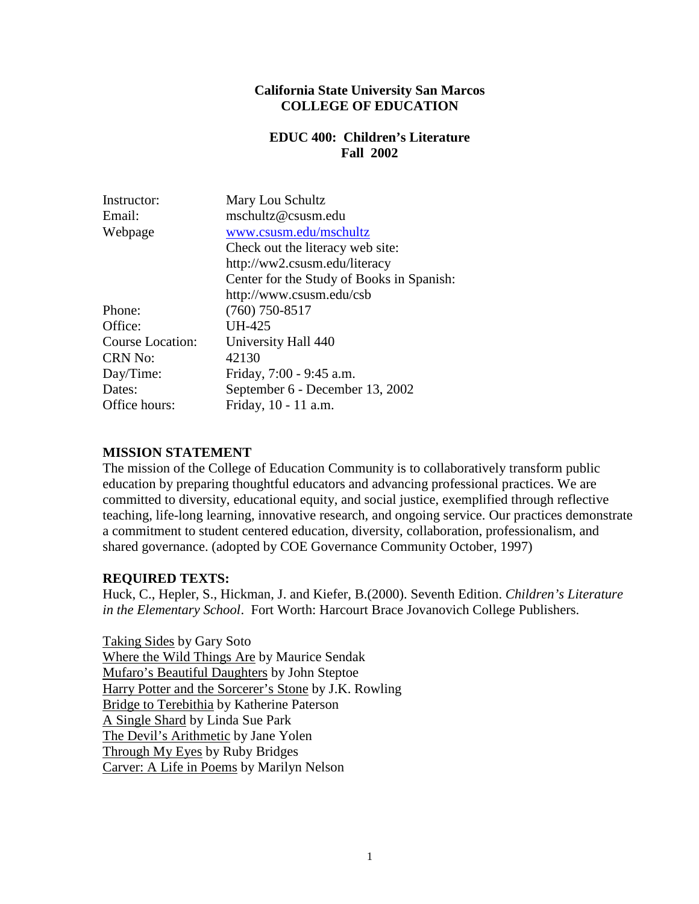#### **California State University San Marcos COLLEGE OF EDUCATION**

#### **EDUC 400: Children's Literature Fall 2002**

| Instructor:             | Mary Lou Schultz                          |  |
|-------------------------|-------------------------------------------|--|
| Email:                  | mschultz@csusm.edu                        |  |
| Webpage                 | www.csusm.edu/mschultz                    |  |
|                         | Check out the literacy web site:          |  |
|                         | http://ww2.csusm.edu/literacy             |  |
|                         | Center for the Study of Books in Spanish: |  |
|                         | http://www.csusm.edu/csb                  |  |
| Phone:                  | $(760)$ 750-8517                          |  |
| Office:                 | UH-425                                    |  |
| <b>Course Location:</b> | University Hall 440                       |  |
| <b>CRN No:</b>          | 42130                                     |  |
| Day/Time:               | Friday, 7:00 - 9:45 a.m.                  |  |
| Dates:                  | September 6 - December 13, 2002           |  |
| Office hours:           | Friday, 10 - 11 a.m.                      |  |
|                         |                                           |  |

#### **MISSION STATEMENT**

The mission of the College of Education Community is to collaboratively transform public education by preparing thoughtful educators and advancing professional practices. We are committed to diversity, educational equity, and social justice, exemplified through reflective teaching, life-long learning, innovative research, and ongoing service. Our practices demonstrate a commitment to student centered education, diversity, collaboration, professionalism, and shared governance. (adopted by COE Governance Community October, 1997)

#### **REQUIRED TEXTS:**

Huck, C., Hepler, S., Hickman, J. and Kiefer, B.(2000). Seventh Edition. *Children's Literature in the Elementary School*. Fort Worth: Harcourt Brace Jovanovich College Publishers.

Taking Sides by Gary Soto Where the Wild Things Are by Maurice Sendak Mufaro's Beautiful Daughters by John Steptoe Harry Potter and the Sorcerer's Stone by J.K. Rowling Bridge to Terebithia by Katherine Paterson A Single Shard by Linda Sue Park The Devil's Arithmetic by Jane Yolen Through My Eyes by Ruby Bridges Carver: A Life in Poems by Marilyn Nelson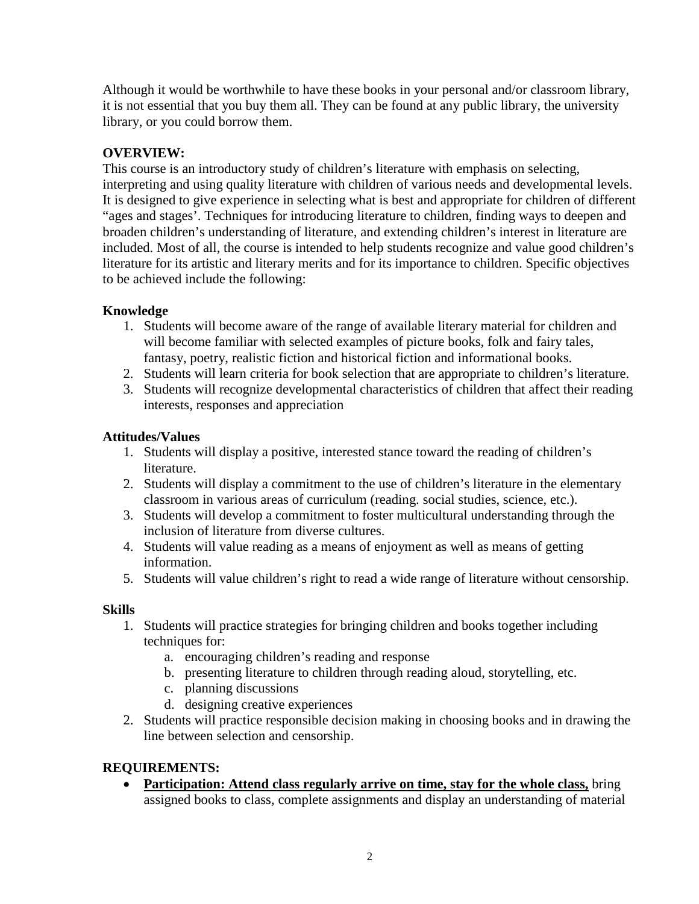Although it would be worthwhile to have these books in your personal and/or classroom library, it is not essential that you buy them all. They can be found at any public library, the university library, or you could borrow them.

# **OVERVIEW:**

This course is an introductory study of children's literature with emphasis on selecting, interpreting and using quality literature with children of various needs and developmental levels. It is designed to give experience in selecting what is best and appropriate for children of different "ages and stages'. Techniques for introducing literature to children, finding ways to deepen and broaden children's understanding of literature, and extending children's interest in literature are included. Most of all, the course is intended to help students recognize and value good children's literature for its artistic and literary merits and for its importance to children. Specific objectives to be achieved include the following:

## **Knowledge**

- 1. Students will become aware of the range of available literary material for children and will become familiar with selected examples of picture books, folk and fairy tales, fantasy, poetry, realistic fiction and historical fiction and informational books.
- 2. Students will learn criteria for book selection that are appropriate to children's literature.
- 3. Students will recognize developmental characteristics of children that affect their reading interests, responses and appreciation

## **Attitudes/Values**

- 1. Students will display a positive, interested stance toward the reading of children's literature.
- 2. Students will display a commitment to the use of children's literature in the elementary classroom in various areas of curriculum (reading. social studies, science, etc.).
- 3. Students will develop a commitment to foster multicultural understanding through the inclusion of literature from diverse cultures.
- 4. Students will value reading as a means of enjoyment as well as means of getting information.
- 5. Students will value children's right to read a wide range of literature without censorship.

#### **Skills**

- 1. Students will practice strategies for bringing children and books together including techniques for:
	- a. encouraging children's reading and response
	- b. presenting literature to children through reading aloud, storytelling, etc.
	- c. planning discussions
	- d. designing creative experiences
- 2. Students will practice responsible decision making in choosing books and in drawing the line between selection and censorship.

## **REQUIREMENTS:**

• **Participation: Attend class regularly arrive on time, stay for the whole class,** bring assigned books to class, complete assignments and display an understanding of material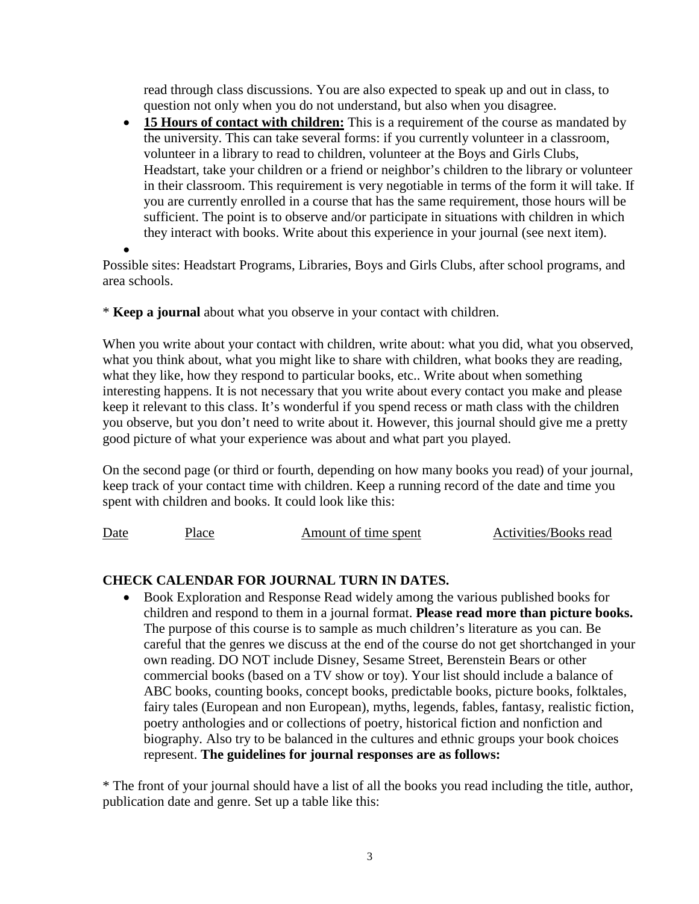read through class discussions. You are also expected to speak up and out in class, to question not only when you do not understand, but also when you disagree.

• **15 Hours of contact with children:** This is a requirement of the course as mandated by the university. This can take several forms: if you currently volunteer in a classroom, volunteer in a library to read to children, volunteer at the Boys and Girls Clubs, Headstart, take your children or a friend or neighbor's children to the library or volunteer in their classroom. This requirement is very negotiable in terms of the form it will take. If you are currently enrolled in a course that has the same requirement, those hours will be sufficient. The point is to observe and/or participate in situations with children in which they interact with books. Write about this experience in your journal (see next item).

• Possible sites: Headstart Programs, Libraries, Boys and Girls Clubs, after school programs, and area schools.

\* **Keep a journal** about what you observe in your contact with children.

When you write about your contact with children, write about: what you did, what you observed, what you think about, what you might like to share with children, what books they are reading, what they like, how they respond to particular books, etc.. Write about when something interesting happens. It is not necessary that you write about every contact you make and please keep it relevant to this class. It's wonderful if you spend recess or math class with the children you observe, but you don't need to write about it. However, this journal should give me a pretty good picture of what your experience was about and what part you played.

On the second page (or third or fourth, depending on how many books you read) of your journal, keep track of your contact time with children. Keep a running record of the date and time you spent with children and books. It could look like this:

Date Place Amount of time spent Activities/Books read

# **CHECK CALENDAR FOR JOURNAL TURN IN DATES.**

• Book Exploration and Response Read widely among the various published books for children and respond to them in a journal format. **Please read more than picture books.** The purpose of this course is to sample as much children's literature as you can. Be careful that the genres we discuss at the end of the course do not get shortchanged in your own reading. DO NOT include Disney, Sesame Street, Berenstein Bears or other commercial books (based on a TV show or toy). Your list should include a balance of ABC books, counting books, concept books, predictable books, picture books, folktales, fairy tales (European and non European), myths, legends, fables, fantasy, realistic fiction, poetry anthologies and or collections of poetry, historical fiction and nonfiction and biography. Also try to be balanced in the cultures and ethnic groups your book choices represent. **The guidelines for journal responses are as follows:**

\* The front of your journal should have a list of all the books you read including the title, author, publication date and genre. Set up a table like this: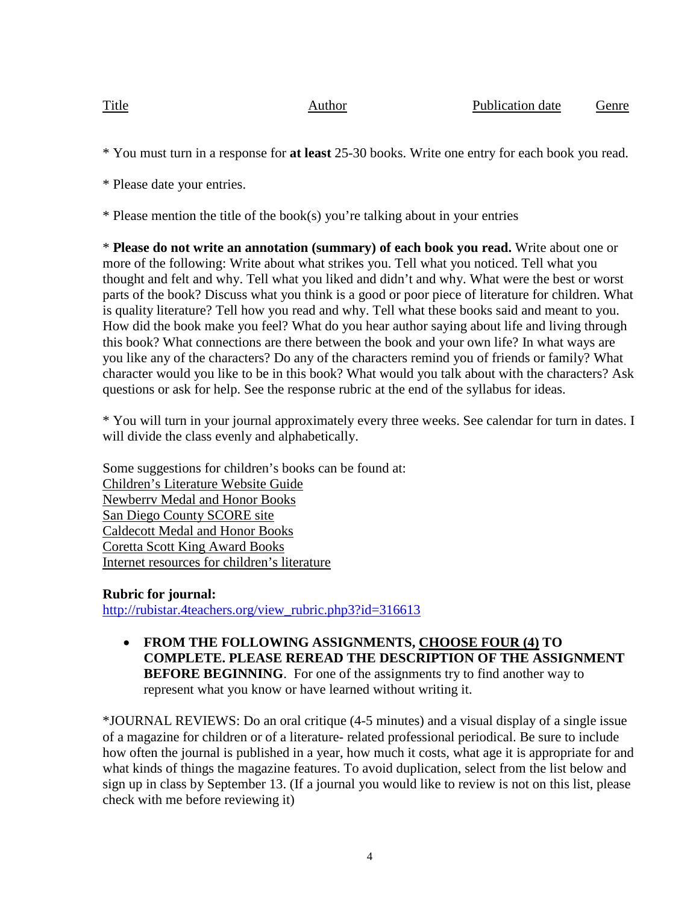Title **Author** Author **Publication date** Genre

\* You must turn in a response for **at least** 25-30 books. Write one entry for each book you read.

\* Please date your entries.

\* Please mention the title of the book(s) you're talking about in your entries

\* **Please do not write an annotation (summary) of each book you read.** Write about one or more of the following: Write about what strikes you. Tell what you noticed. Tell what you thought and felt and why. Tell what you liked and didn't and why. What were the best or worst parts of the book? Discuss what you think is a good or poor piece of literature for children. What is quality literature? Tell how you read and why. Tell what these books said and meant to you. How did the book make you feel? What do you hear author saying about life and living through this book? What connections are there between the book and your own life? In what ways are you like any of the characters? Do any of the characters remind you of friends or family? What character would you like to be in this book? What would you talk about with the characters? Ask questions or ask for help. See the response rubric at the end of the syllabus for ideas.

\* You will turn in your journal approximately every three weeks. See calendar for turn in dates. I will divide the class evenly and alphabetically.

Some suggestions for children's books can be found at: Children's Literature Website Guide Newberrv Medal and Honor Books San Diego County SCORE site Caldecott Medal and Honor Books Coretta Scott King Award Books Internet resources for children's literature

## **Rubric for journal:**

[http://rubistar.4teachers.org/view\\_rubric.php3?id=316613](http://rubistar.4teachers.org/view_rubric.php3?id=316613)

• **FROM THE FOLLOWING ASSIGNMENTS, CHOOSE FOUR (4) TO COMPLETE. PLEASE REREAD THE DESCRIPTION OF THE ASSIGNMENT BEFORE BEGINNING**. For one of the assignments try to find another way to represent what you know or have learned without writing it.

\*JOURNAL REVIEWS: Do an oral critique (4-5 minutes) and a visual display of a single issue of a magazine for children or of a literature- related professional periodical. Be sure to include how often the journal is published in a year, how much it costs, what age it is appropriate for and what kinds of things the magazine features. To avoid duplication, select from the list below and sign up in class by September 13. (If a journal you would like to review is not on this list, please check with me before reviewing it)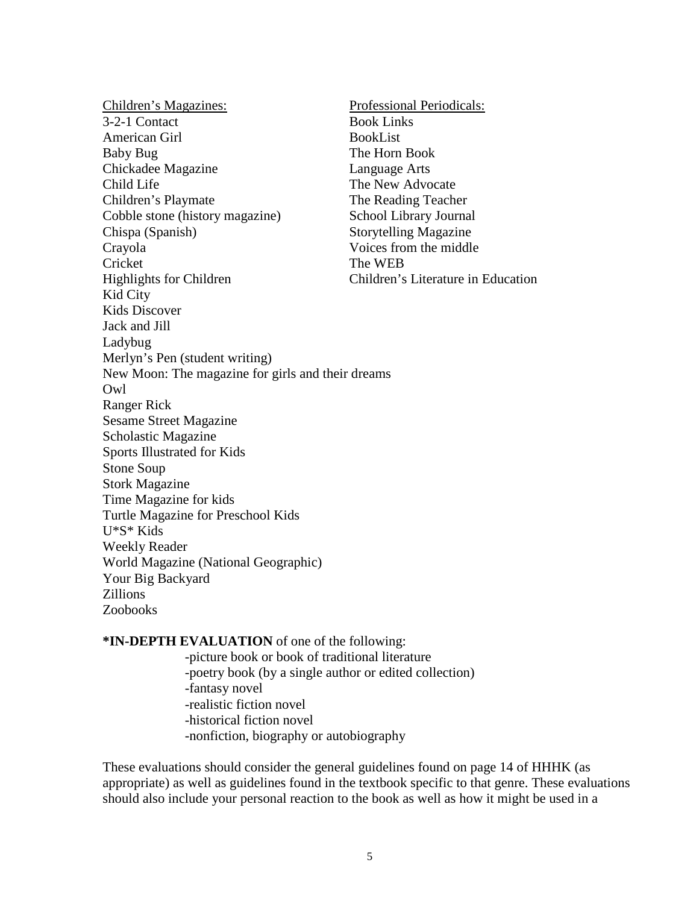Children's Magazines: Professional Periodicals: 3-2-1 Contact Book Links American Girl BookList Baby Bug The Horn Book Chickadee Magazine Language Arts Child Life The New Advocate Children's Playmate The Reading Teacher Cobble stone (history magazine) School Library Journal Chispa (Spanish) Storytelling Magazine Crayola Voices from the middle Cricket The WEB Highlights for Children Children's Literature in Education Kid City Kids Discover Jack and Jill Ladybug Merlyn's Pen (student writing) New Moon: The magazine for girls and their dreams Owl Ranger Rick Sesame Street Magazine Scholastic Magazine Sports Illustrated for Kids Stone Soup Stork Magazine Time Magazine for kids Turtle Magazine for Preschool Kids U\*S\* Kids Weekly Reader World Magazine (National Geographic) Your Big Backyard Zillions Zoobooks

**\*IN-DEPTH EVALUATION** of one of the following:

-picture book or book of traditional literature -poetry book (by a single author or edited collection) -fantasy novel -realistic fiction novel -historical fiction novel -nonfiction, biography or autobiography

These evaluations should consider the general guidelines found on page 14 of HHHK (as appropriate) as well as guidelines found in the textbook specific to that genre. These evaluations should also include your personal reaction to the book as well as how it might be used in a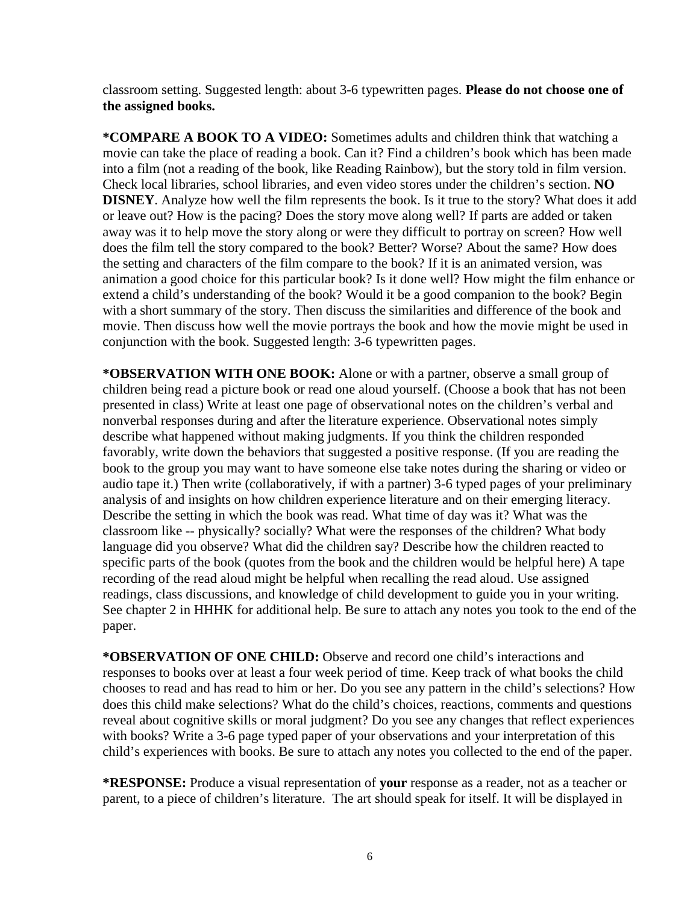classroom setting. Suggested length: about 3-6 typewritten pages. **Please do not choose one of the assigned books.**

**\*COMPARE A BOOK TO A VIDEO:** Sometimes adults and children think that watching a movie can take the place of reading a book. Can it? Find a children's book which has been made into a film (not a reading of the book, like Reading Rainbow), but the story told in film version. Check local libraries, school libraries, and even video stores under the children's section. **NO DISNEY**. Analyze how well the film represents the book. Is it true to the story? What does it add or leave out? How is the pacing? Does the story move along well? If parts are added or taken away was it to help move the story along or were they difficult to portray on screen? How well does the film tell the story compared to the book? Better? Worse? About the same? How does the setting and characters of the film compare to the book? If it is an animated version, was animation a good choice for this particular book? Is it done well? How might the film enhance or extend a child's understanding of the book? Would it be a good companion to the book? Begin with a short summary of the story. Then discuss the similarities and difference of the book and movie. Then discuss how well the movie portrays the book and how the movie might be used in conjunction with the book. Suggested length: 3-6 typewritten pages.

**\*OBSERVATION WITH ONE BOOK:** Alone or with a partner, observe a small group of children being read a picture book or read one aloud yourself. (Choose a book that has not been presented in class) Write at least one page of observational notes on the children's verbal and nonverbal responses during and after the literature experience. Observational notes simply describe what happened without making judgments. If you think the children responded favorably, write down the behaviors that suggested a positive response. (If you are reading the book to the group you may want to have someone else take notes during the sharing or video or audio tape it.) Then write (collaboratively, if with a partner) 3-6 typed pages of your preliminary analysis of and insights on how children experience literature and on their emerging literacy. Describe the setting in which the book was read. What time of day was it? What was the classroom like -- physically? socially? What were the responses of the children? What body language did you observe? What did the children say? Describe how the children reacted to specific parts of the book (quotes from the book and the children would be helpful here) A tape recording of the read aloud might be helpful when recalling the read aloud. Use assigned readings, class discussions, and knowledge of child development to guide you in your writing. See chapter 2 in HHHK for additional help. Be sure to attach any notes you took to the end of the paper.

**\*OBSERVATION OF ONE CHILD:** Observe and record one child's interactions and responses to books over at least a four week period of time. Keep track of what books the child chooses to read and has read to him or her. Do you see any pattern in the child's selections? How does this child make selections? What do the child's choices, reactions, comments and questions reveal about cognitive skills or moral judgment? Do you see any changes that reflect experiences with books? Write a 3-6 page typed paper of your observations and your interpretation of this child's experiences with books. Be sure to attach any notes you collected to the end of the paper.

**\*RESPONSE:** Produce a visual representation of **your** response as a reader, not as a teacher or parent, to a piece of children's literature. The art should speak for itself. It will be displayed in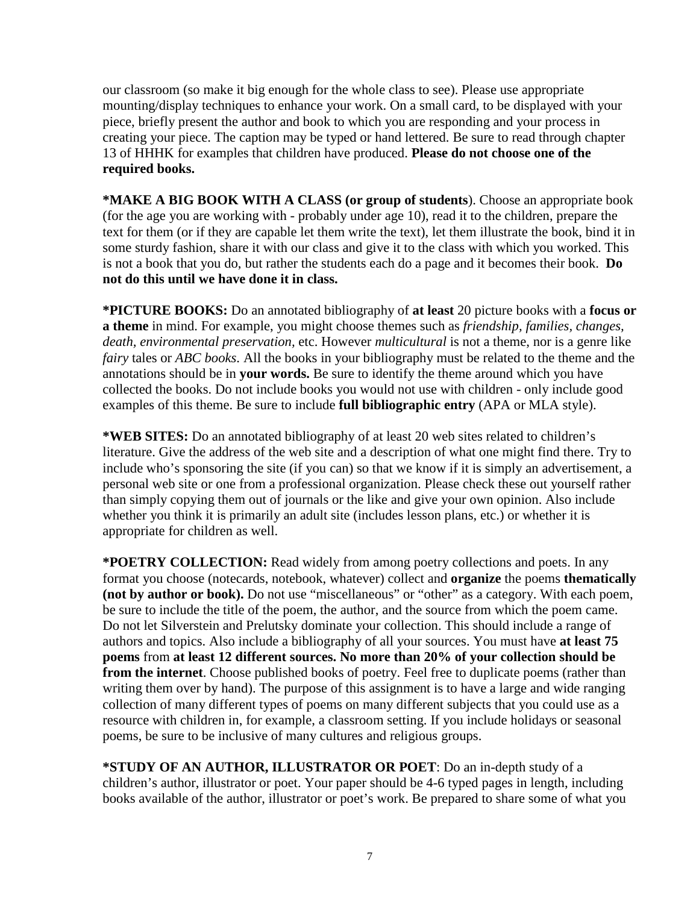our classroom (so make it big enough for the whole class to see). Please use appropriate mounting/display techniques to enhance your work. On a small card, to be displayed with your piece, briefly present the author and book to which you are responding and your process in creating your piece. The caption may be typed or hand lettered. Be sure to read through chapter 13 of HHHK for examples that children have produced. **Please do not choose one of the required books.**

**\*MAKE A BIG BOOK WITH A CLASS (or group of students**). Choose an appropriate book (for the age you are working with - probably under age 10), read it to the children, prepare the text for them (or if they are capable let them write the text), let them illustrate the book, bind it in some sturdy fashion, share it with our class and give it to the class with which you worked. This is not a book that you do, but rather the students each do a page and it becomes their book. **Do not do this until we have done it in class.**

**\*PICTURE BOOKS:** Do an annotated bibliography of **at least** 20 picture books with a **focus or a theme** in mind. For example, you might choose themes such as *friendship, families, changes, death, environmental preservation,* etc. However *multicultural* is not a theme, nor is a genre like *fairy* tales or *ABC books*. All the books in your bibliography must be related to the theme and the annotations should be in **your words.** Be sure to identify the theme around which you have collected the books. Do not include books you would not use with children - only include good examples of this theme. Be sure to include **full bibliographic entry** (APA or MLA style).

**\*WEB SITES:** Do an annotated bibliography of at least 20 web sites related to children's literature. Give the address of the web site and a description of what one might find there. Try to include who's sponsoring the site (if you can) so that we know if it is simply an advertisement, a personal web site or one from a professional organization. Please check these out yourself rather than simply copying them out of journals or the like and give your own opinion. Also include whether you think it is primarily an adult site (includes lesson plans, etc.) or whether it is appropriate for children as well.

**\*POETRY COLLECTION:** Read widely from among poetry collections and poets. In any format you choose (notecards, notebook, whatever) collect and **organize** the poems **thematically (not by author or book).** Do not use "miscellaneous" or "other" as a category. With each poem, be sure to include the title of the poem, the author, and the source from which the poem came. Do not let Silverstein and Prelutsky dominate your collection. This should include a range of authors and topics. Also include a bibliography of all your sources. You must have **at least 75 poems** from **at least 12 different sources. No more than 20% of your collection should be from the internet**. Choose published books of poetry. Feel free to duplicate poems (rather than writing them over by hand). The purpose of this assignment is to have a large and wide ranging collection of many different types of poems on many different subjects that you could use as a resource with children in, for example, a classroom setting. If you include holidays or seasonal poems, be sure to be inclusive of many cultures and religious groups.

**\*STUDY OF AN AUTHOR, ILLUSTRATOR OR POET**: Do an in-depth study of a children's author, illustrator or poet. Your paper should be 4-6 typed pages in length, including books available of the author, illustrator or poet's work. Be prepared to share some of what you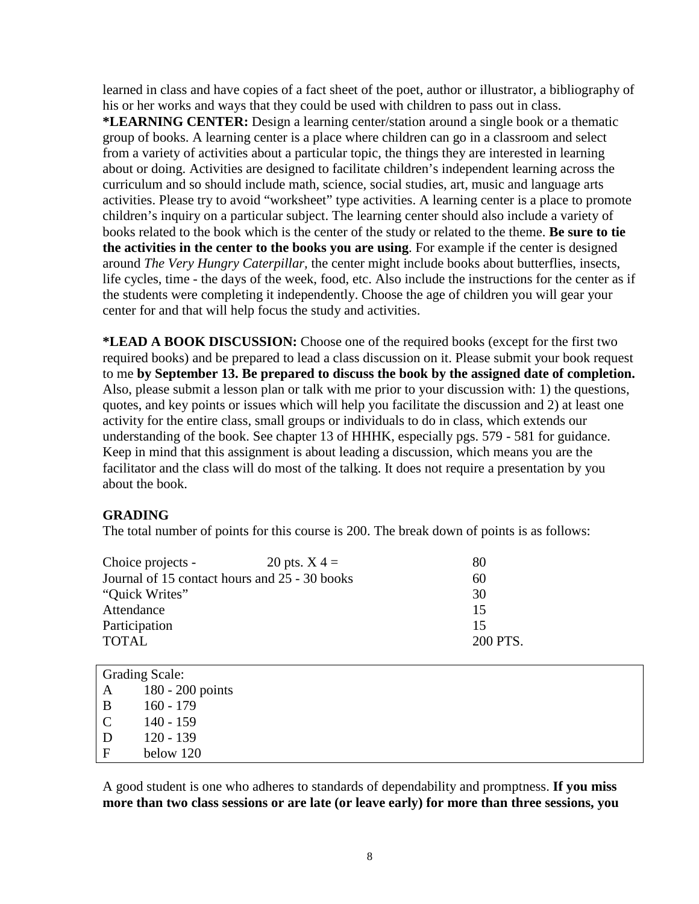learned in class and have copies of a fact sheet of the poet, author or illustrator, a bibliography of his or her works and ways that they could be used with children to pass out in class.

**\*LEARNING CENTER:** Design a learning center/station around a single book or a thematic group of books. A learning center is a place where children can go in a classroom and select from a variety of activities about a particular topic, the things they are interested in learning about or doing. Activities are designed to facilitate children's independent learning across the curriculum and so should include math, science, social studies, art, music and language arts activities. Please try to avoid "worksheet" type activities. A learning center is a place to promote children's inquiry on a particular subject. The learning center should also include a variety of books related to the book which is the center of the study or related to the theme. **Be sure to tie the activities in the center to the books you are using**. For example if the center is designed around *The Very Hungry Caterpillar,* the center might include books about butterflies, insects, life cycles, time - the days of the week, food, etc. Also include the instructions for the center as if the students were completing it independently. Choose the age of children you will gear your center for and that will help focus the study and activities.

**\*LEAD A BOOK DISCUSSION:** Choose one of the required books (except for the first two required books) and be prepared to lead a class discussion on it. Please submit your book request to me **by September 13. Be prepared to discuss the book by the assigned date of completion.** Also, please submit a lesson plan or talk with me prior to your discussion with: 1) the questions, quotes, and key points or issues which will help you facilitate the discussion and 2) at least one activity for the entire class, small groups or individuals to do in class, which extends our understanding of the book. See chapter 13 of HHHK, especially pgs. 579 - 581 for guidance. Keep in mind that this assignment is about leading a discussion, which means you are the facilitator and the class will do most of the talking. It does not require a presentation by you about the book.

## **GRADING**

The total number of points for this course is 200. The break down of points is as follows:

| 80       |
|----------|
| 60       |
| 30       |
| 15       |
| 15       |
| 200 PTS. |
|          |

| <b>Grading Scale:</b> |                    |  |  |  |
|-----------------------|--------------------|--|--|--|
| A                     | $180 - 200$ points |  |  |  |
| B                     | $160 - 179$        |  |  |  |
| $\mathbf C$           | $140 - 159$        |  |  |  |
| D                     | $120 - 139$        |  |  |  |
| $\mathbf{F}$          | below 120          |  |  |  |

A good student is one who adheres to standards of dependability and promptness. **If you miss more than two class sessions or are late (or leave early) for more than three sessions, you**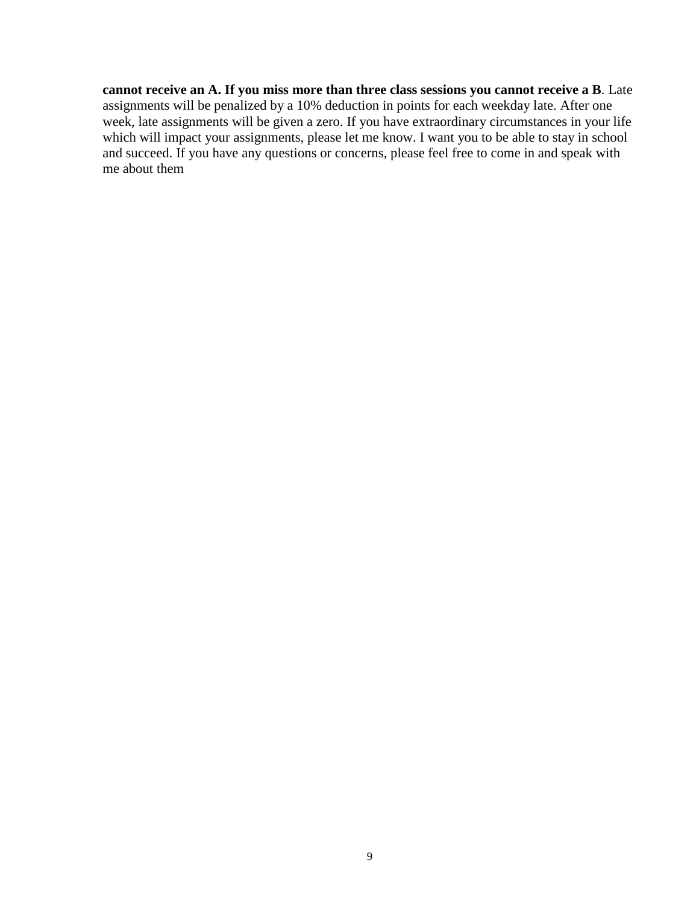**cannot receive an A. If you miss more than three class sessions you cannot receive a B**. Late assignments will be penalized by a 10% deduction in points for each weekday late. After one week, late assignments will be given a zero. If you have extraordinary circumstances in your life which will impact your assignments, please let me know. I want you to be able to stay in school and succeed. If you have any questions or concerns, please feel free to come in and speak with me about them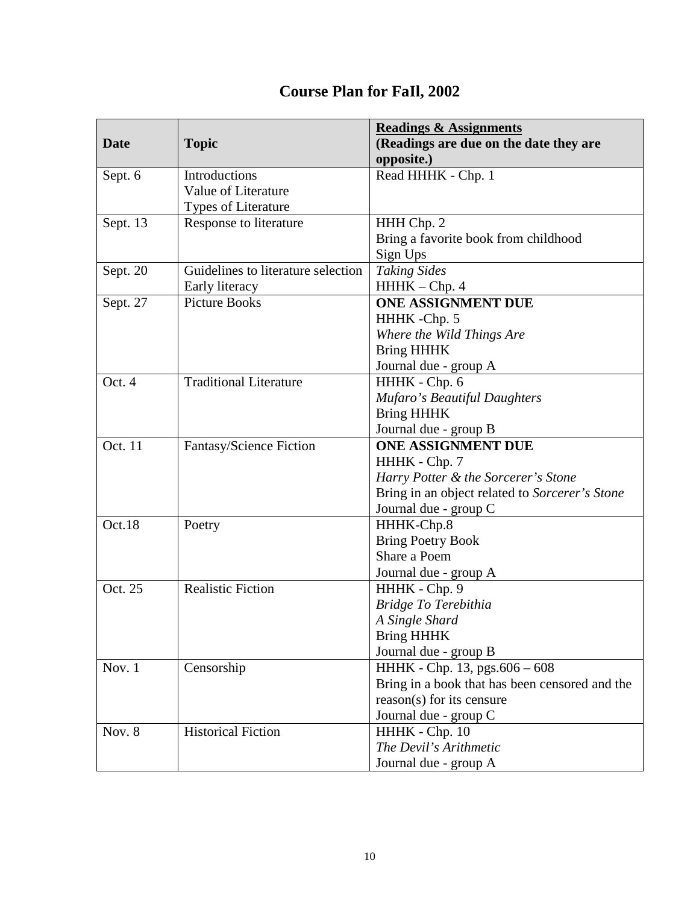| <b>Date</b> | <b>Topic</b>                       | <b>Readings &amp; Assignments</b><br>(Readings are due on the date they are     |
|-------------|------------------------------------|---------------------------------------------------------------------------------|
|             |                                    | opposite.)                                                                      |
| Sept. 6     | Introductions                      | Read HHHK - Chp. 1                                                              |
|             | Value of Literature                |                                                                                 |
|             | <b>Types of Literature</b>         |                                                                                 |
| Sept. 13    | Response to literature             | HHH Chp. 2                                                                      |
|             |                                    | Bring a favorite book from childhood                                            |
|             |                                    | Sign Ups                                                                        |
| Sept. 20    | Guidelines to literature selection | <b>Taking Sides</b>                                                             |
|             | Early literacy                     | HHHK - Chp. 4                                                                   |
| Sept. 27    | <b>Picture Books</b>               | <b>ONE ASSIGNMENT DUE</b>                                                       |
|             |                                    | HHHK-Chp. 5                                                                     |
|             |                                    | Where the Wild Things Are                                                       |
|             |                                    | <b>Bring HHHK</b>                                                               |
|             |                                    | Journal due - group A                                                           |
| Oct. 4      | Traditional Literature             | HHHK - Chp. 6                                                                   |
|             |                                    | Mufaro's Beautiful Daughters                                                    |
|             |                                    | <b>Bring HHHK</b>                                                               |
|             |                                    | Journal due - group B                                                           |
| Oct. 11     | Fantasy/Science Fiction            | ONE ASSIGNMENT DUE                                                              |
|             |                                    | HHHK - Chp. 7                                                                   |
|             |                                    | Harry Potter & the Sorcerer's Stone                                             |
|             |                                    | Bring in an object related to Sorcerer's Stone                                  |
|             |                                    | Journal due - group C                                                           |
| Oct.18      | Poetry                             | HHHK-Chp.8                                                                      |
|             |                                    | <b>Bring Poetry Book</b>                                                        |
|             |                                    | Share a Poem                                                                    |
|             |                                    | Journal due - group A                                                           |
| Oct. 25     | <b>Realistic Fiction</b>           | HHHK - Chp. 9                                                                   |
|             |                                    | Bridge To Terebithia                                                            |
|             |                                    | A Single Shard                                                                  |
|             |                                    | <b>Bring HHHK</b>                                                               |
| Nov. 1      | Censorship                         | Journal due - group B                                                           |
|             |                                    | HHHK - Chp. 13, pgs.606 - 608<br>Bring in a book that has been censored and the |
|             |                                    | $reason(s)$ for its censure                                                     |
|             |                                    | Journal due - group C                                                           |
| Nov. 8      | <b>Historical Fiction</b>          | HHHK - Chp. 10                                                                  |
|             |                                    | The Devil's Arithmetic                                                          |
|             |                                    | Journal due - group A                                                           |

# **Course Plan for FaIl, 2002**